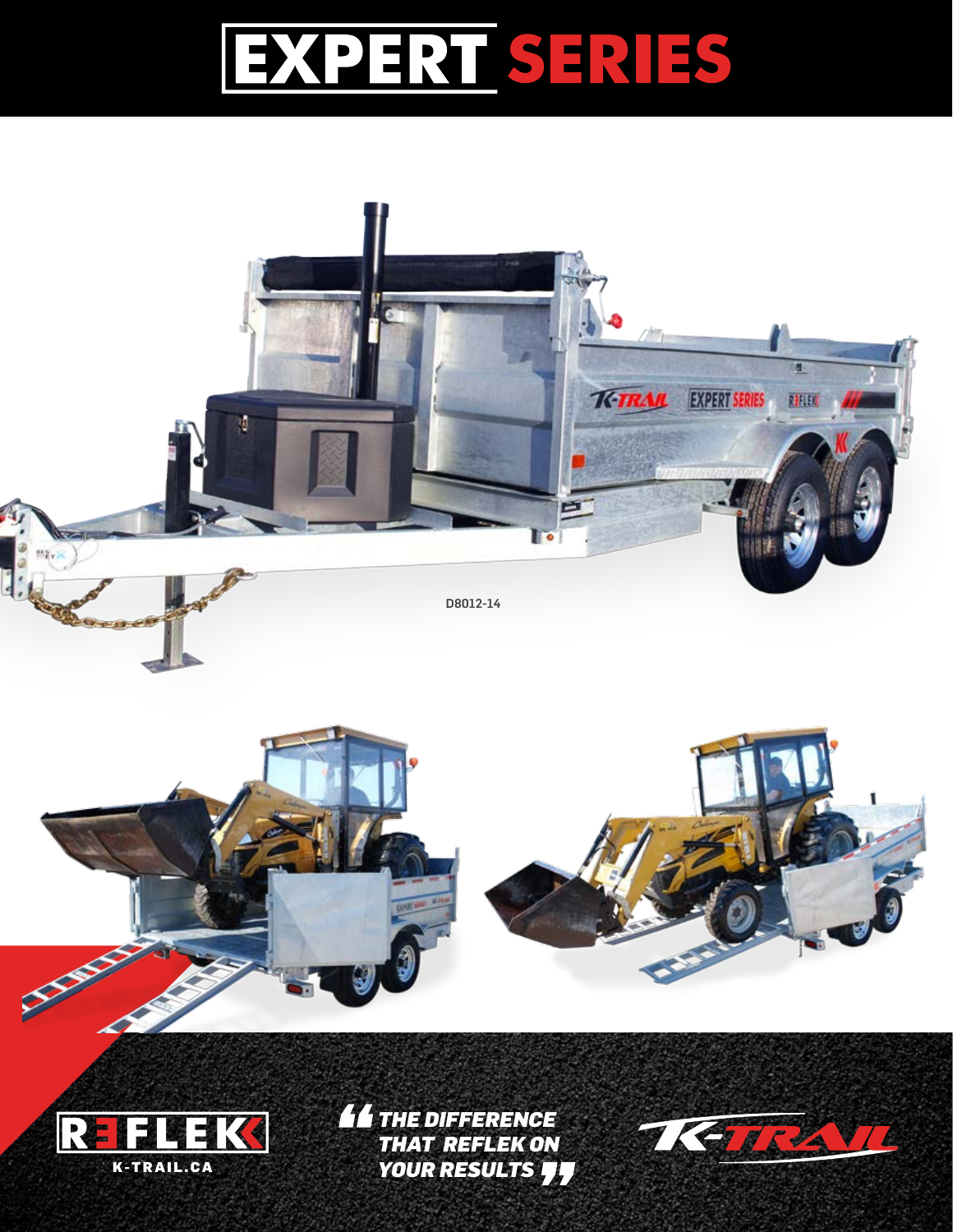## EXPERISERIES

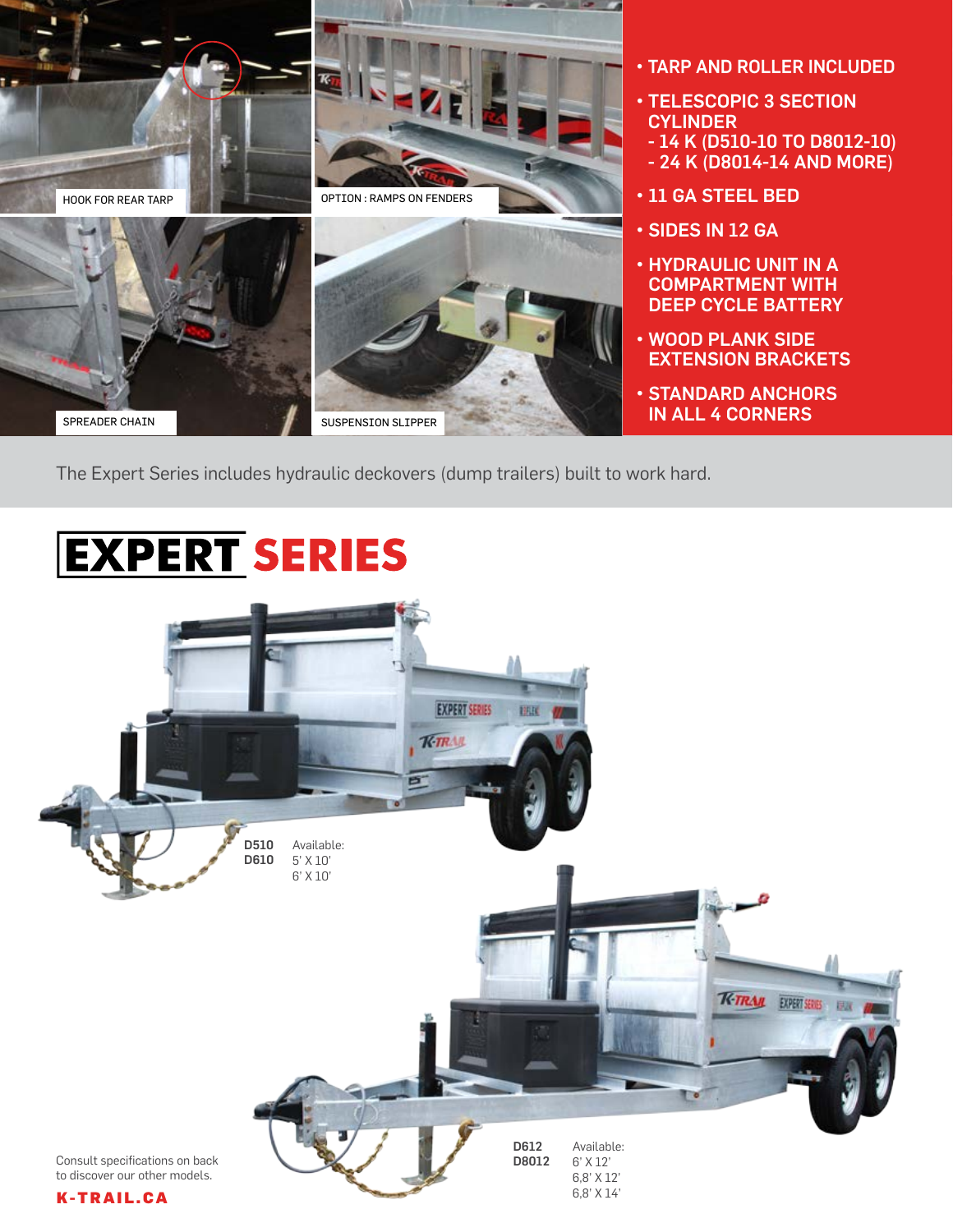

- TARP AND ROLLER INCLUDED
- TELESCOPIC 3 SECTION **CYLINDER**
- 14 K (D510-10 TO D8012-10)
- 24 K (D8014-14 AND MORE)
- 11 GA STEEL BED
- SIDES IN 12 GA
- HYDRAULIC UNIT IN A COMPARTMENT WITH DEEP CYCLE BATTERY
- WOOD PLANK SIDE EXTENSION BRACKETS
- STANDARD ANCHORS IN ALL 4 CORNERS

The Expert Series includes hydraulic deckovers (dump trailers) built to work hard.

## **EXPERT SERIES**

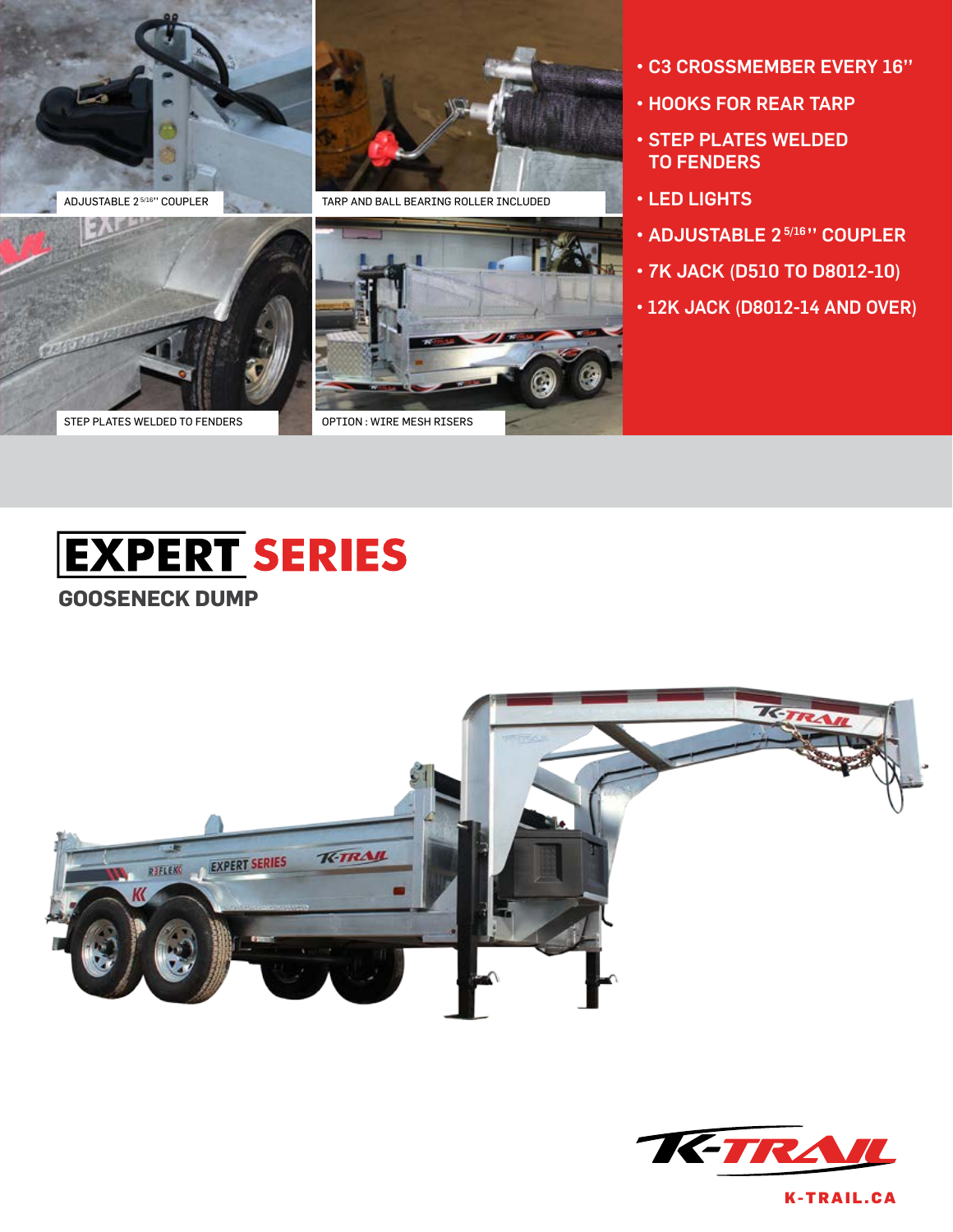



ADJUSTABLE 2<sup>5/16</sup>" COUPLER **TARP AND BALL BEARING ROLLER INCLUDED** 

- C3 CROSSMEMBER EVERY 16''
- HOOKS FOR REAR TARP
- STEP PLATES WELDED TO FENDERS
- LED LIGHTS
- ADJUSTABLE 2<sup>5/16</sup>" COUPLER
- 7K JACK (D510 TO D8012-10)
- 12K JACK (D8012-14 AND OVER)











K-TRAIL.CA